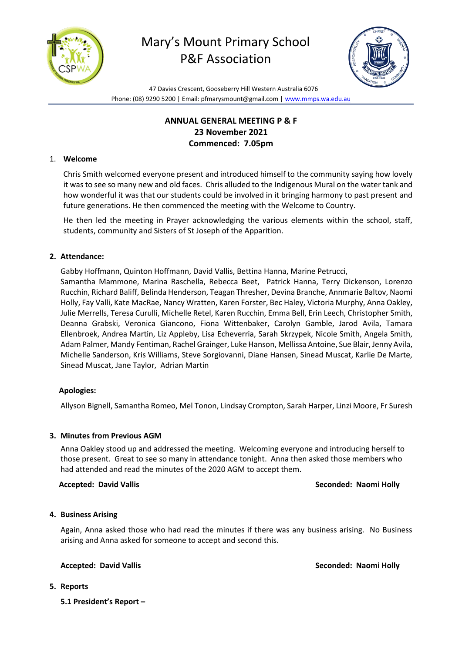



47 Davies Crescent, Gooseberry Hill Western Australia 6076 Phone: (08) 9290 5200 | Email: pfmarysmount@gmail.com [| www.mmps.wa.edu.au](http://www.mmps.wa.edu.au/)

# **ANNUAL GENERAL MEETING P & F 23 November 2021 Commenced: 7.05pm**

## 1. **Welcome**

Chris Smith welcomed everyone present and introduced himself to the community saying how lovely it was to see so many new and old faces. Chris alluded to the Indigenous Mural on the water tank and how wonderful it was that our students could be involved in it bringing harmony to past present and future generations. He then commenced the meeting with the Welcome to Country.

He then led the meeting in Prayer acknowledging the various elements within the school, staff, students, community and Sisters of St Joseph of the Apparition.

## **2. Attendance:**

Gabby Hoffmann, Quinton Hoffmann, David Vallis, Bettina Hanna, Marine Petrucci, Samantha Mammone, Marina Raschella, Rebecca Beet, Patrick Hanna, Terry Dickenson, Lorenzo Rucchin, Richard Baliff, Belinda Henderson, Teagan Thresher, Devina Branche, Annmarie Baltov, Naomi Holly, Fay Valli, Kate MacRae, Nancy Wratten, Karen Forster, Bec Haley, Victoria Murphy, Anna Oakley, Julie Merrells, Teresa Curulli, Michelle Retel, Karen Rucchin, Emma Bell, Erin Leech, Christopher Smith, Deanna Grabski, Veronica Giancono, Fiona Wittenbaker, Carolyn Gamble, Jarod Avila, Tamara Ellenbroek, Andrea Martin, Liz Appleby, Lisa Echeverria, Sarah Skrzypek, Nicole Smith, Angela Smith, Adam Palmer, Mandy Fentiman, Rachel Grainger, Luke Hanson, Mellissa Antoine, Sue Blair, Jenny Avila, Michelle Sanderson, Kris Williams, Steve Sorgiovanni, Diane Hansen, Sinead Muscat, Karlie De Marte, Sinead Muscat, Jane Taylor, Adrian Martin

### **Apologies:**

Allyson Bignell, Samantha Romeo, Mel Tonon, Lindsay Crompton, Sarah Harper, Linzi Moore, Fr Suresh

### **3. Minutes from Previous AGM**

Anna Oakley stood up and addressed the meeting. Welcoming everyone and introducing herself to those present. Great to see so many in attendance tonight. Anna then asked those members who had attended and read the minutes of the 2020 AGM to accept them.

 **Accepted: David Vallis Seconded: Naomi Holly**

### **4. Business Arising**

Again, Anna asked those who had read the minutes if there was any business arising. No Business arising and Anna asked for someone to accept and second this.

**Accepted: David Vallis Seconded: Naomi Holly**

- **5. Reports** 
	- **5.1 President's Report –**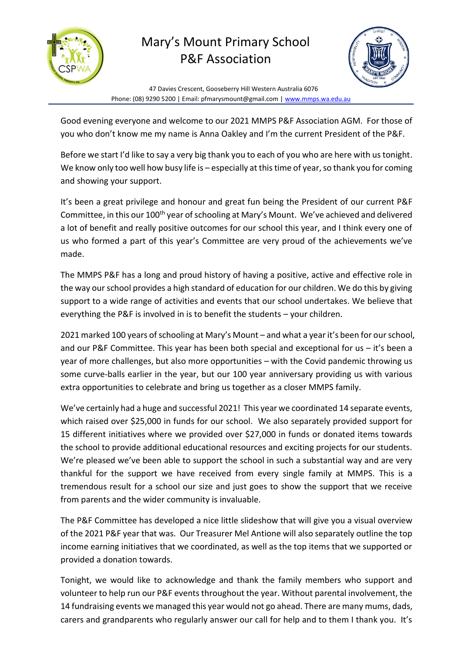



47 Davies Crescent, Gooseberry Hill Western Australia 6076 Phone: (08) 9290 5200 | Email: pfmarysmount@gmail.com [| www.mmps.wa.edu.au](http://www.mmps.wa.edu.au/)

Good evening everyone and welcome to our 2021 MMPS P&F Association AGM. For those of you who don't know me my name is Anna Oakley and I'm the current President of the P&F.

Before we start I'd like to say a very big thank you to each of you who are here with us tonight. We know only too well how busy life is – especially at this time of year, so thank you for coming and showing your support.

It's been a great privilege and honour and great fun being the President of our current P&F Committee, in this our 100<sup>th</sup> year of schooling at Mary's Mount. We've achieved and delivered a lot of benefit and really positive outcomes for our school this year, and I think every one of us who formed a part of this year's Committee are very proud of the achievements we've made.

The MMPS P&F has a long and proud history of having a positive, active and effective role in the way our school provides a high standard of education for our children. We do this by giving support to a wide range of activities and events that our school undertakes. We believe that everything the P&F is involved in is to benefit the students – your children.

2021 marked 100 years of schooling at Mary's Mount – and what a year it's been for our school, and our P&F Committee. This year has been both special and exceptional for us – it's been a year of more challenges, but also more opportunities – with the Covid pandemic throwing us some curve-balls earlier in the year, but our 100 year anniversary providing us with various extra opportunities to celebrate and bring us together as a closer MMPS family.

We've certainly had a huge and successful 2021! This year we coordinated 14 separate events, which raised over \$25,000 in funds for our school. We also separately provided support for 15 different initiatives where we provided over \$27,000 in funds or donated items towards the school to provide additional educational resources and exciting projects for our students. We're pleased we've been able to support the school in such a substantial way and are very thankful for the support we have received from every single family at MMPS. This is a tremendous result for a school our size and just goes to show the support that we receive from parents and the wider community is invaluable.

The P&F Committee has developed a nice little slideshow that will give you a visual overview of the 2021 P&F year that was. Our Treasurer Mel Antione will also separately outline the top income earning initiatives that we coordinated, as well as the top items that we supported or provided a donation towards.

Tonight, we would like to acknowledge and thank the family members who support and volunteer to help run our P&F events throughout the year. Without parental involvement, the 14 fundraising events we managed this year would not go ahead. There are many mums, dads, carers and grandparents who regularly answer our call for help and to them I thank you. It's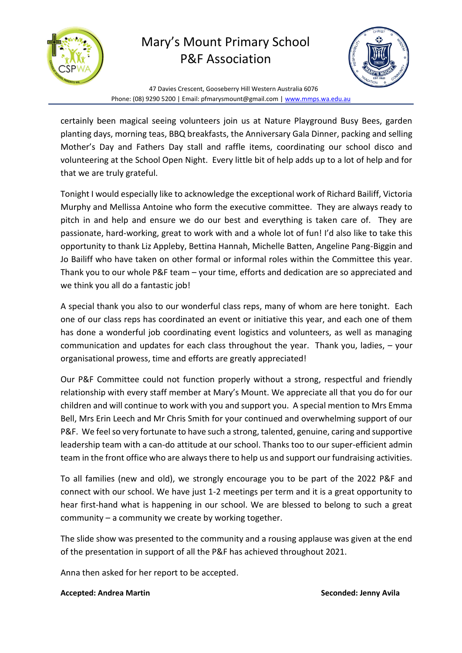



47 Davies Crescent, Gooseberry Hill Western Australia 6076 Phone: (08) 9290 5200 | Email: pfmarysmount@gmail.com [| www.mmps.wa.edu.au](http://www.mmps.wa.edu.au/)

certainly been magical seeing volunteers join us at Nature Playground Busy Bees, garden planting days, morning teas, BBQ breakfasts, the Anniversary Gala Dinner, packing and selling Mother's Day and Fathers Day stall and raffle items, coordinating our school disco and volunteering at the School Open Night. Every little bit of help adds up to a lot of help and for that we are truly grateful.

Tonight I would especially like to acknowledge the exceptional work of Richard Bailiff, Victoria Murphy and Mellissa Antoine who form the executive committee. They are always ready to pitch in and help and ensure we do our best and everything is taken care of. They are passionate, hard-working, great to work with and a whole lot of fun! I'd also like to take this opportunity to thank Liz Appleby, Bettina Hannah, Michelle Batten, Angeline Pang-Biggin and Jo Bailiff who have taken on other formal or informal roles within the Committee this year. Thank you to our whole P&F team – your time, efforts and dedication are so appreciated and we think you all do a fantastic job!

A special thank you also to our wonderful class reps, many of whom are here tonight. Each one of our class reps has coordinated an event or initiative this year, and each one of them has done a wonderful job coordinating event logistics and volunteers, as well as managing communication and updates for each class throughout the year. Thank you, ladies, – your organisational prowess, time and efforts are greatly appreciated!

Our P&F Committee could not function properly without a strong, respectful and friendly relationship with every staff member at Mary's Mount. We appreciate all that you do for our children and will continue to work with you and support you. A special mention to Mrs Emma Bell, Mrs Erin Leech and Mr Chris Smith for your continued and overwhelming support of our P&F. We feel so very fortunate to have such a strong, talented, genuine, caring and supportive leadership team with a can-do attitude at our school. Thanks too to our super-efficient admin team in the front office who are always there to help us and support our fundraising activities.

To all families (new and old), we strongly encourage you to be part of the 2022 P&F and connect with our school. We have just 1-2 meetings per term and it is a great opportunity to hear first-hand what is happening in our school. We are blessed to belong to such a great community – a community we create by working together.

The slide show was presented to the community and a rousing applause was given at the end of the presentation in support of all the P&F has achieved throughout 2021.

Anna then asked for her report to be accepted.

## **Accepted: Andrea Martin Seconded: Jenny Avila**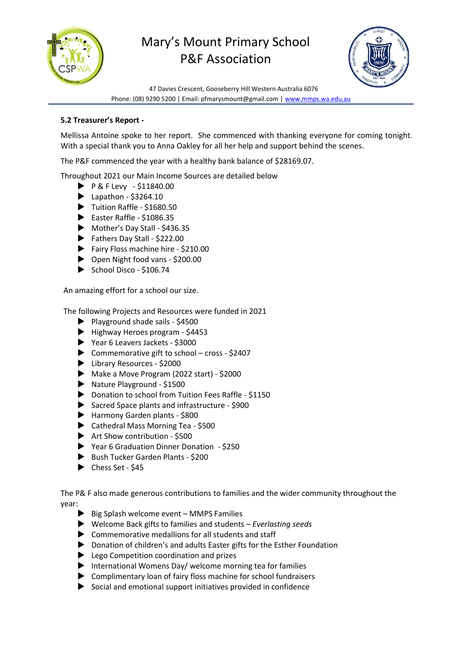



47 Davies Crescent, Gooseberry Hill Western Australia 6076 Phone: (08) 9290 5200 | Email: pfmarysmount@gmail.com [| www.mmps.wa.edu.au](http://www.mmps.wa.edu.au/)

## **5.2 Treasurer's Report -**

Mellissa Antoine spoke to her report. She commenced with thanking everyone for coming tonight. With a special thank you to Anna Oakley for all her help and support behind the scenes.

The P&F commenced the year with a healthy bank balance of \$28169.07.

Throughout 2021 our Main Income Sources are detailed below

- $\triangleright$  P & F Levy \$11840.00
- $\blacktriangleright$  Lapathon \$3264.10
- Tuition Raffle \$1680.50
- $\blacktriangleright$  Easter Raffle \$1086.35
- Mother's Day Stall \$436.35
- Fathers Day Stall \$222.00
- Fairy Floss machine hire \$210.00
- ▶ Open Night food vans \$200.00
- $\triangleright$  School Disco \$106.74

An amazing effort for a school our size.

The following Projects and Resources were funded in 2021

- $\blacktriangleright$  Playground shade sails \$4500
- Highway Heroes program \$4453
- Year 6 Leavers Jackets \$3000
- $\triangleright$  Commemorative gift to school cross \$2407
- ▶ Library Resources \$2000
- Make a Move Program (2022 start) \$2000
- Nature Playground \$1500
- Donation to school from Tuition Fees Raffle \$1150
- Sacred Space plants and infrastructure \$900
- Harmony Garden plants \$800
- ▶ Cathedral Mass Morning Tea \$500
- $\blacktriangleright$  Art Show contribution \$500
- Year 6 Graduation Dinner Donation \$250
- Bush Tucker Garden Plants \$200
- $\blacktriangleright$  Chess Set \$45

The P& F also made generous contributions to families and the wider community throughout the year:

- $\triangleright$  Big Splash welcome event MMPS Families
- Welcome Back gifts to families and students *Everlasting seeds*
- Commemorative medallions for all students and staff
- ▶ Donation of children's and adults Easter gifts for the Esther Foundation
- ▶ Lego Competition coordination and prizes
- $\blacktriangleright$  International Womens Day/ welcome morning tea for families
- Complimentary loan of fairy floss machine for school fundraisers
- $\triangleright$  Social and emotional support initiatives provided in confidence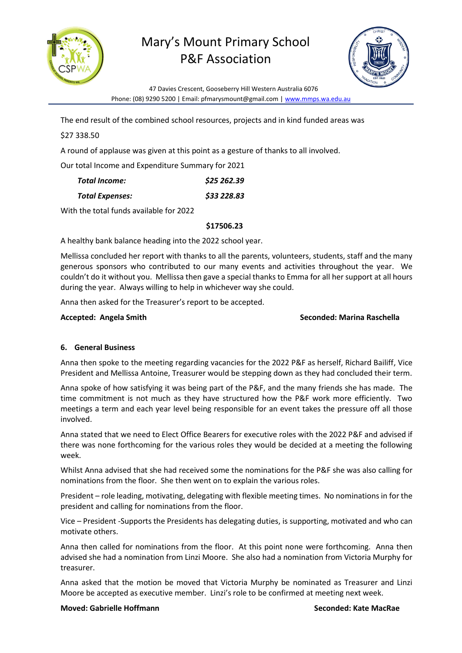



47 Davies Crescent, Gooseberry Hill Western Australia 6076 Phone: (08) 9290 5200 | Email: pfmarysmount@gmail.com [| www.mmps.wa.edu.au](http://www.mmps.wa.edu.au/)

The end result of the combined school resources, projects and in kind funded areas was

# \$27 338.50

A round of applause was given at this point as a gesture of thanks to all involved.

Our total Income and Expenditure Summary for 2021

| Total Income:          | \$25 262.39 |
|------------------------|-------------|
| <b>Total Expenses:</b> | \$33 228.83 |

With the total funds available for 2022

## **\$17506.23**

A healthy bank balance heading into the 2022 school year.

Mellissa concluded her report with thanks to all the parents, volunteers, students, staff and the many generous sponsors who contributed to our many events and activities throughout the year. We couldn't do it without you. Mellissa then gave a special thanks to Emma for all her support at all hours during the year. Always willing to help in whichever way she could.

Anna then asked for the Treasurer's report to be accepted.

## **Accepted: Angela Smith Seconded: Marina Raschella**

## **6. General Business**

Anna then spoke to the meeting regarding vacancies for the 2022 P&F as herself, Richard Bailiff, Vice President and Mellissa Antoine, Treasurer would be stepping down as they had concluded their term.

Anna spoke of how satisfying it was being part of the P&F, and the many friends she has made. The time commitment is not much as they have structured how the P&F work more efficiently. Two meetings a term and each year level being responsible for an event takes the pressure off all those involved.

Anna stated that we need to Elect Office Bearers for executive roles with the 2022 P&F and advised if there was none forthcoming for the various roles they would be decided at a meeting the following week.

Whilst Anna advised that she had received some the nominations for the P&F she was also calling for nominations from the floor. She then went on to explain the various roles.

President – role leading, motivating, delegating with flexible meeting times. No nominations in for the president and calling for nominations from the floor.

Vice – President -Supports the Presidents has delegating duties, is supporting, motivated and who can motivate others.

Anna then called for nominations from the floor. At this point none were forthcoming. Anna then advised she had a nomination from Linzi Moore. She also had a nomination from Victoria Murphy for treasurer.

Anna asked that the motion be moved that Victoria Murphy be nominated as Treasurer and Linzi Moore be accepted as executive member. Linzi's role to be confirmed at meeting next week.

### **Moved: Gabrielle Hoffmann Seconded: Kate MacRae**